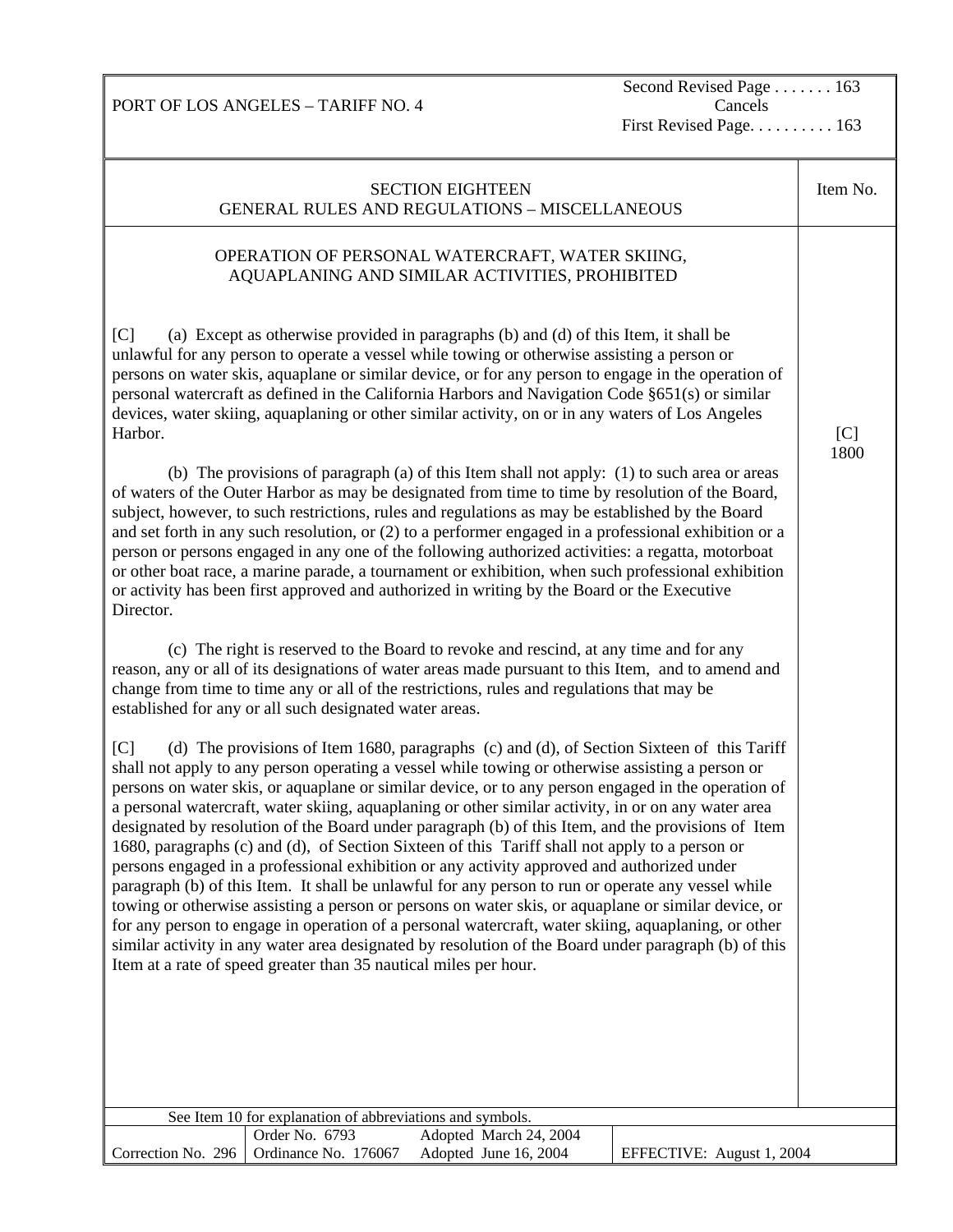Second Revised Page . . . . . . . 163 Cancels

First Revised Page. . . . . . . . . . 163

SECTION EIGHTEEN GENERAL RULES AND REGULATIONS – MISCELLANEOUS Item No. OPERATION OF PERSONAL WATERCRAFT, WATER SKIING, AQUAPLANING AND SIMILAR ACTIVITIES, PROHIBITED [C] (a) Except as otherwise provided in paragraphs (b) and (d) of this Item, it shall be unlawful for any person to operate a vessel while towing or otherwise assisting a person or persons on water skis, aquaplane or similar device, or for any person to engage in the operation of personal watercraft as defined in the California Harbors and Navigation Code §651(s) or similar devices, water skiing, aquaplaning or other similar activity, on or in any waters of Los Angeles Harbor. (b) The provisions of paragraph (a) of this Item shall not apply: (1) to such area or areas of waters of the Outer Harbor as may be designated from time to time by resolution of the Board, subject, however, to such restrictions, rules and regulations as may be established by the Board and set forth in any such resolution, or (2) to a performer engaged in a professional exhibition or a person or persons engaged in any one of the following authorized activities: a regatta, motorboat or other boat race, a marine parade, a tournament or exhibition, when such professional exhibition or activity has been first approved and authorized in writing by the Board or the Executive Director. (c) The right is reserved to the Board to revoke and rescind, at any time and for any reason, any or all of its designations of water areas made pursuant to this Item, and to amend and change from time to time any or all of the restrictions, rules and regulations that may be established for any or all such designated water areas. [C] (d) The provisions of Item 1680, paragraphs (c) and (d), of Section Sixteen of this Tariff shall not apply to any person operating a vessel while towing or otherwise assisting a person or persons on water skis, or aquaplane or similar device, or to any person engaged in the operation of a personal watercraft, water skiing, aquaplaning or other similar activity, in or on any water area designated by resolution of the Board under paragraph (b) of this Item, and the provisions of Item 1680, paragraphs (c) and (d), of Section Sixteen of this Tariff shall not apply to a person or persons engaged in a professional exhibition or any activity approved and authorized under paragraph (b) of this Item. It shall be unlawful for any person to run or operate any vessel while towing or otherwise assisting a person or persons on water skis, or aquaplane or similar device, or for any person to engage in operation of a personal watercraft, water skiing, aquaplaning, or other similar activity in any water area designated by resolution of the Board under paragraph (b) of this Item at a rate of speed greater than 35 nautical miles per hour.  $[C]$ 1800 See Item 10 for explanation of abbreviations and symbols. Correction No. 296 Order No. 6793 Adopted March 24, 2004 Ordinance No. 176067 Adopted June 16, 2004 EFFECTIVE: August 1, 2004

PORT OF LOS ANGELES – TARIFF NO. 4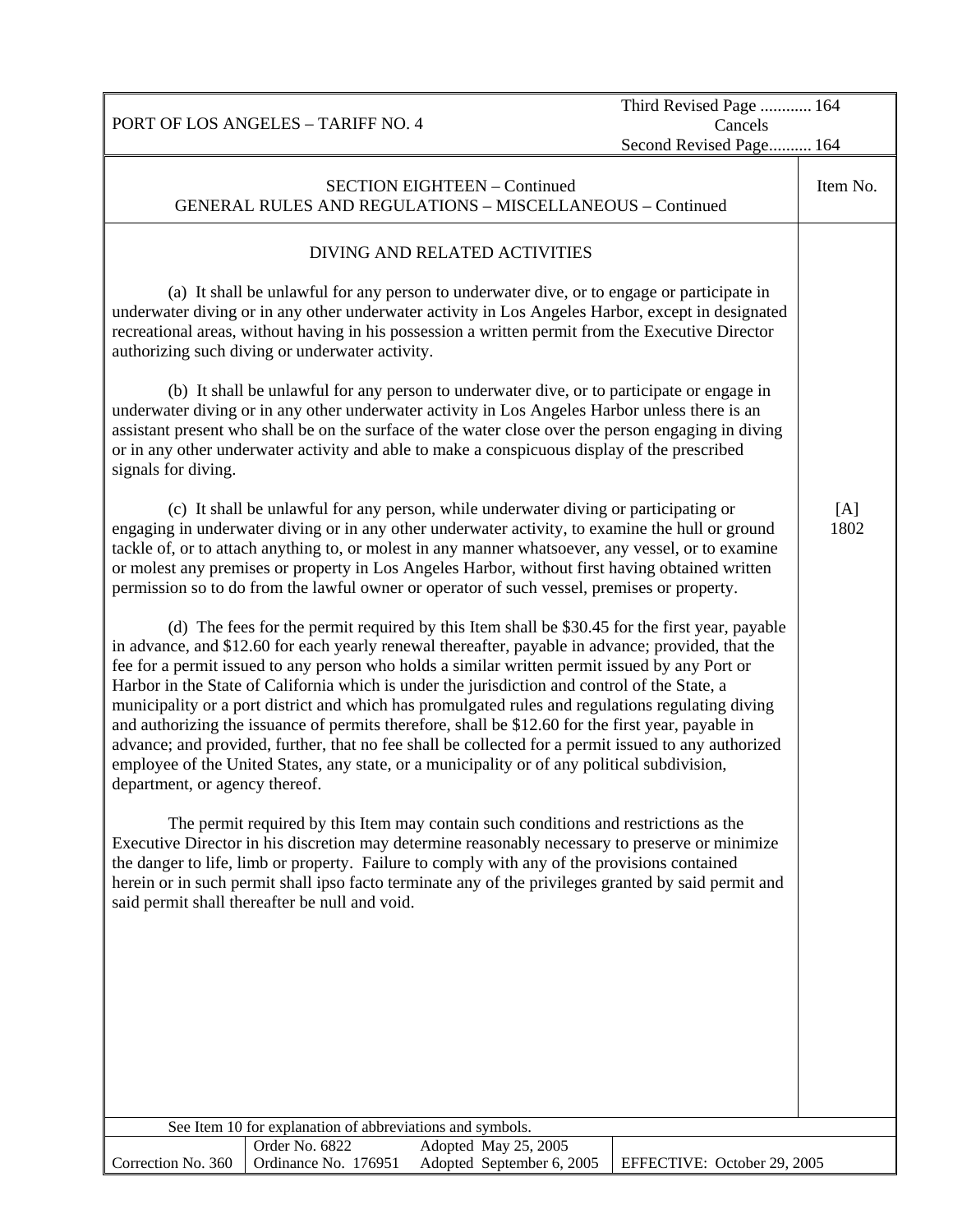|                                |                                                           |                                                                                                                                                                                                                                                                                                                                                                                                                                                                                                                                                                                                                                                                                                                                                                                                                            | Third Revised Page  164     |             |
|--------------------------------|-----------------------------------------------------------|----------------------------------------------------------------------------------------------------------------------------------------------------------------------------------------------------------------------------------------------------------------------------------------------------------------------------------------------------------------------------------------------------------------------------------------------------------------------------------------------------------------------------------------------------------------------------------------------------------------------------------------------------------------------------------------------------------------------------------------------------------------------------------------------------------------------------|-----------------------------|-------------|
|                                | PORT OF LOS ANGELES - TARIFF NO. 4                        |                                                                                                                                                                                                                                                                                                                                                                                                                                                                                                                                                                                                                                                                                                                                                                                                                            | Cancels                     |             |
|                                |                                                           |                                                                                                                                                                                                                                                                                                                                                                                                                                                                                                                                                                                                                                                                                                                                                                                                                            | Second Revised Page 164     |             |
|                                |                                                           | <b>SECTION EIGHTEEN - Continued</b><br><b>GENERAL RULES AND REGULATIONS - MISCELLANEOUS - Continued</b>                                                                                                                                                                                                                                                                                                                                                                                                                                                                                                                                                                                                                                                                                                                    |                             | Item No.    |
|                                |                                                           | DIVING AND RELATED ACTIVITIES                                                                                                                                                                                                                                                                                                                                                                                                                                                                                                                                                                                                                                                                                                                                                                                              |                             |             |
|                                | authorizing such diving or underwater activity.           | (a) It shall be unlawful for any person to underwater dive, or to engage or participate in<br>underwater diving or in any other underwater activity in Los Angeles Harbor, except in designated<br>recreational areas, without having in his possession a written permit from the Executive Director                                                                                                                                                                                                                                                                                                                                                                                                                                                                                                                       |                             |             |
| signals for diving.            |                                                           | (b) It shall be unlawful for any person to underwater dive, or to participate or engage in<br>underwater diving or in any other underwater activity in Los Angeles Harbor unless there is an<br>assistant present who shall be on the surface of the water close over the person engaging in diving<br>or in any other underwater activity and able to make a conspicuous display of the prescribed                                                                                                                                                                                                                                                                                                                                                                                                                        |                             |             |
|                                |                                                           | (c) It shall be unlawful for any person, while underwater diving or participating or<br>engaging in underwater diving or in any other underwater activity, to examine the hull or ground<br>tackle of, or to attach anything to, or molest in any manner whatsoever, any vessel, or to examine<br>or molest any premises or property in Los Angeles Harbor, without first having obtained written<br>permission so to do from the lawful owner or operator of such vessel, premises or property.                                                                                                                                                                                                                                                                                                                           |                             | [A]<br>1802 |
| department, or agency thereof. |                                                           | (d) The fees for the permit required by this Item shall be \$30.45 for the first year, payable<br>in advance, and \$12.60 for each yearly renewal thereafter, payable in advance; provided, that the<br>fee for a permit issued to any person who holds a similar written permit issued by any Port or<br>Harbor in the State of California which is under the jurisdiction and control of the State, a<br>municipality or a port district and which has promulgated rules and regulations regulating diving<br>and authorizing the issuance of permits therefore, shall be \$12.60 for the first year, payable in<br>advance; and provided, further, that no fee shall be collected for a permit issued to any authorized<br>employee of the United States, any state, or a municipality or of any political subdivision, |                             |             |
|                                | said permit shall thereafter be null and void.            | The permit required by this Item may contain such conditions and restrictions as the<br>Executive Director in his discretion may determine reasonably necessary to preserve or minimize<br>the danger to life, limb or property. Failure to comply with any of the provisions contained<br>herein or in such permit shall ipso facto terminate any of the privileges granted by said permit and                                                                                                                                                                                                                                                                                                                                                                                                                            |                             |             |
|                                |                                                           |                                                                                                                                                                                                                                                                                                                                                                                                                                                                                                                                                                                                                                                                                                                                                                                                                            |                             |             |
|                                |                                                           |                                                                                                                                                                                                                                                                                                                                                                                                                                                                                                                                                                                                                                                                                                                                                                                                                            |                             |             |
|                                | See Item 10 for explanation of abbreviations and symbols. |                                                                                                                                                                                                                                                                                                                                                                                                                                                                                                                                                                                                                                                                                                                                                                                                                            |                             |             |
|                                | Order No. 6822                                            | Adopted May 25, 2005                                                                                                                                                                                                                                                                                                                                                                                                                                                                                                                                                                                                                                                                                                                                                                                                       |                             |             |
| Correction No. 360             | Ordinance No. 176951                                      | Adopted September 6, 2005                                                                                                                                                                                                                                                                                                                                                                                                                                                                                                                                                                                                                                                                                                                                                                                                  | EFFECTIVE: October 29, 2005 |             |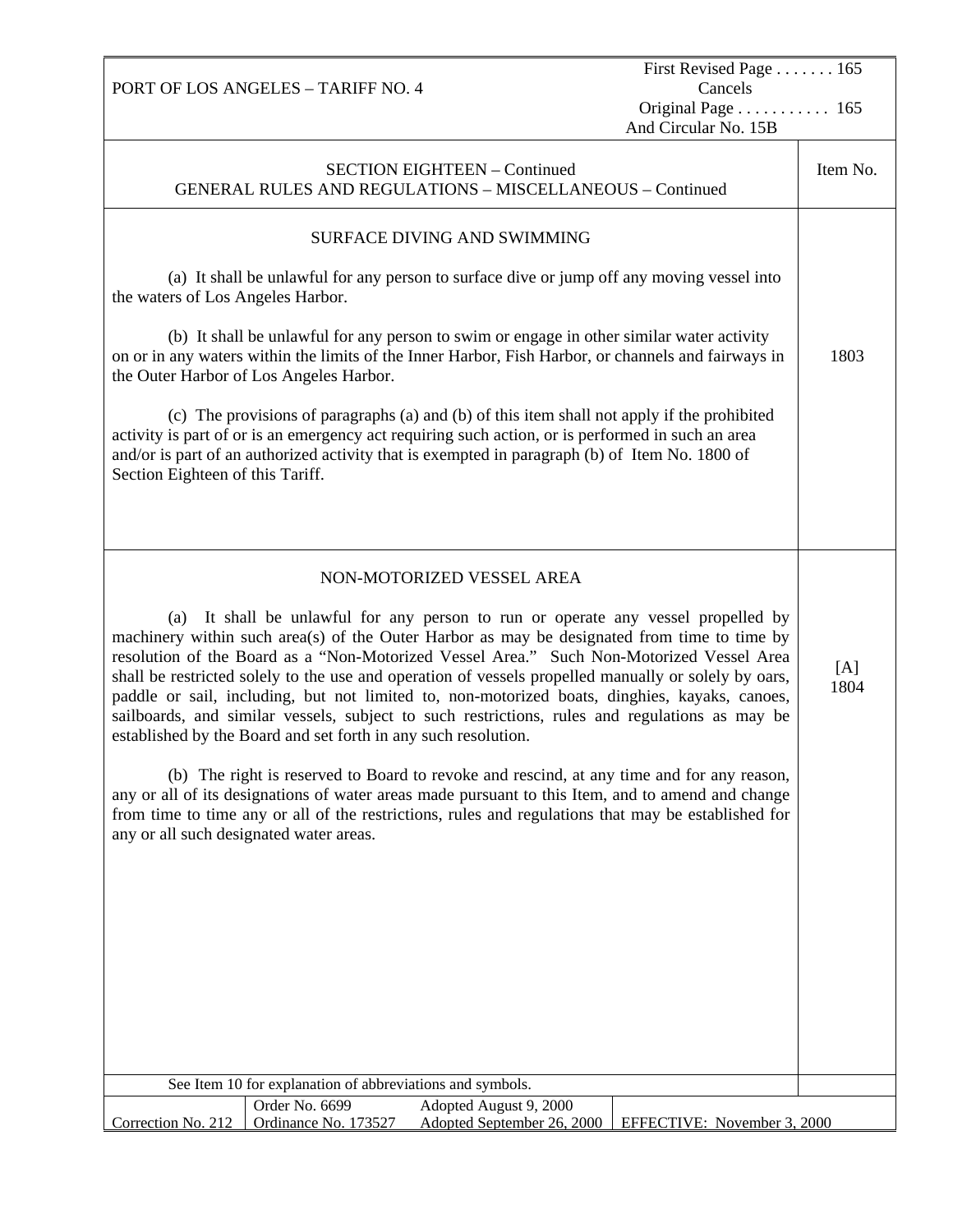|                                                                                                                                                                                                                                                                                                                                                                                                                                                                                                                                                                                                                                                           | PORT OF LOS ANGELES - TARIFF NO. 4                                                                                                                                                                                                          |                                                                                                                                                                                                                                                                                                       | First Revised Page 165<br>Cancels |          |  |
|-----------------------------------------------------------------------------------------------------------------------------------------------------------------------------------------------------------------------------------------------------------------------------------------------------------------------------------------------------------------------------------------------------------------------------------------------------------------------------------------------------------------------------------------------------------------------------------------------------------------------------------------------------------|---------------------------------------------------------------------------------------------------------------------------------------------------------------------------------------------------------------------------------------------|-------------------------------------------------------------------------------------------------------------------------------------------------------------------------------------------------------------------------------------------------------------------------------------------------------|-----------------------------------|----------|--|
|                                                                                                                                                                                                                                                                                                                                                                                                                                                                                                                                                                                                                                                           |                                                                                                                                                                                                                                             |                                                                                                                                                                                                                                                                                                       | Original Page 165                 |          |  |
|                                                                                                                                                                                                                                                                                                                                                                                                                                                                                                                                                                                                                                                           |                                                                                                                                                                                                                                             |                                                                                                                                                                                                                                                                                                       | And Circular No. 15B              |          |  |
|                                                                                                                                                                                                                                                                                                                                                                                                                                                                                                                                                                                                                                                           |                                                                                                                                                                                                                                             | <b>SECTION EIGHTEEN - Continued</b><br><b>GENERAL RULES AND REGULATIONS - MISCELLANEOUS - Continued</b>                                                                                                                                                                                               |                                   | Item No. |  |
|                                                                                                                                                                                                                                                                                                                                                                                                                                                                                                                                                                                                                                                           |                                                                                                                                                                                                                                             | <b>SURFACE DIVING AND SWIMMING</b>                                                                                                                                                                                                                                                                    |                                   |          |  |
| the waters of Los Angeles Harbor.                                                                                                                                                                                                                                                                                                                                                                                                                                                                                                                                                                                                                         |                                                                                                                                                                                                                                             | (a) It shall be unlawful for any person to surface dive or jump off any moving vessel into                                                                                                                                                                                                            |                                   |          |  |
|                                                                                                                                                                                                                                                                                                                                                                                                                                                                                                                                                                                                                                                           | (b) It shall be unlawful for any person to swim or engage in other similar water activity<br>on or in any waters within the limits of the Inner Harbor, Fish Harbor, or channels and fairways in<br>the Outer Harbor of Los Angeles Harbor. |                                                                                                                                                                                                                                                                                                       |                                   |          |  |
| Section Eighteen of this Tariff.                                                                                                                                                                                                                                                                                                                                                                                                                                                                                                                                                                                                                          |                                                                                                                                                                                                                                             | (c) The provisions of paragraphs (a) and (b) of this item shall not apply if the prohibited<br>activity is part of or is an emergency act requiring such action, or is performed in such an area<br>and/or is part of an authorized activity that is exempted in paragraph (b) of Item No. 1800 of    |                                   |          |  |
|                                                                                                                                                                                                                                                                                                                                                                                                                                                                                                                                                                                                                                                           |                                                                                                                                                                                                                                             |                                                                                                                                                                                                                                                                                                       |                                   |          |  |
|                                                                                                                                                                                                                                                                                                                                                                                                                                                                                                                                                                                                                                                           |                                                                                                                                                                                                                                             | NON-MOTORIZED VESSEL AREA                                                                                                                                                                                                                                                                             |                                   |          |  |
| (a) It shall be unlawful for any person to run or operate any vessel propelled by<br>machinery within such area(s) of the Outer Harbor as may be designated from time to time by<br>resolution of the Board as a "Non-Motorized Vessel Area." Such Non-Motorized Vessel Area<br>shall be restricted solely to the use and operation of vessels propelled manually or solely by oars,<br>paddle or sail, including, but not limited to, non-motorized boats, dinghies, kayaks, canoes,<br>sailboards, and similar vessels, subject to such restrictions, rules and regulations as may be<br>established by the Board and set forth in any such resolution. |                                                                                                                                                                                                                                             |                                                                                                                                                                                                                                                                                                       | [A]<br>1804                       |          |  |
| any or all such designated water areas.                                                                                                                                                                                                                                                                                                                                                                                                                                                                                                                                                                                                                   |                                                                                                                                                                                                                                             | (b) The right is reserved to Board to revoke and rescind, at any time and for any reason,<br>any or all of its designations of water areas made pursuant to this Item, and to amend and change<br>from time to time any or all of the restrictions, rules and regulations that may be established for |                                   |          |  |
|                                                                                                                                                                                                                                                                                                                                                                                                                                                                                                                                                                                                                                                           |                                                                                                                                                                                                                                             |                                                                                                                                                                                                                                                                                                       |                                   |          |  |
|                                                                                                                                                                                                                                                                                                                                                                                                                                                                                                                                                                                                                                                           |                                                                                                                                                                                                                                             |                                                                                                                                                                                                                                                                                                       |                                   |          |  |
|                                                                                                                                                                                                                                                                                                                                                                                                                                                                                                                                                                                                                                                           |                                                                                                                                                                                                                                             |                                                                                                                                                                                                                                                                                                       |                                   |          |  |
|                                                                                                                                                                                                                                                                                                                                                                                                                                                                                                                                                                                                                                                           |                                                                                                                                                                                                                                             |                                                                                                                                                                                                                                                                                                       |                                   |          |  |
|                                                                                                                                                                                                                                                                                                                                                                                                                                                                                                                                                                                                                                                           | See Item 10 for explanation of abbreviations and symbols.                                                                                                                                                                                   |                                                                                                                                                                                                                                                                                                       |                                   |          |  |
| Correction No. 212                                                                                                                                                                                                                                                                                                                                                                                                                                                                                                                                                                                                                                        | Order No. 6699<br>Ordinance No. 173527                                                                                                                                                                                                      | Adopted August 9, 2000<br>Adopted September 26, 2000                                                                                                                                                                                                                                                  | EFFECTIVE: November 3, 2000       |          |  |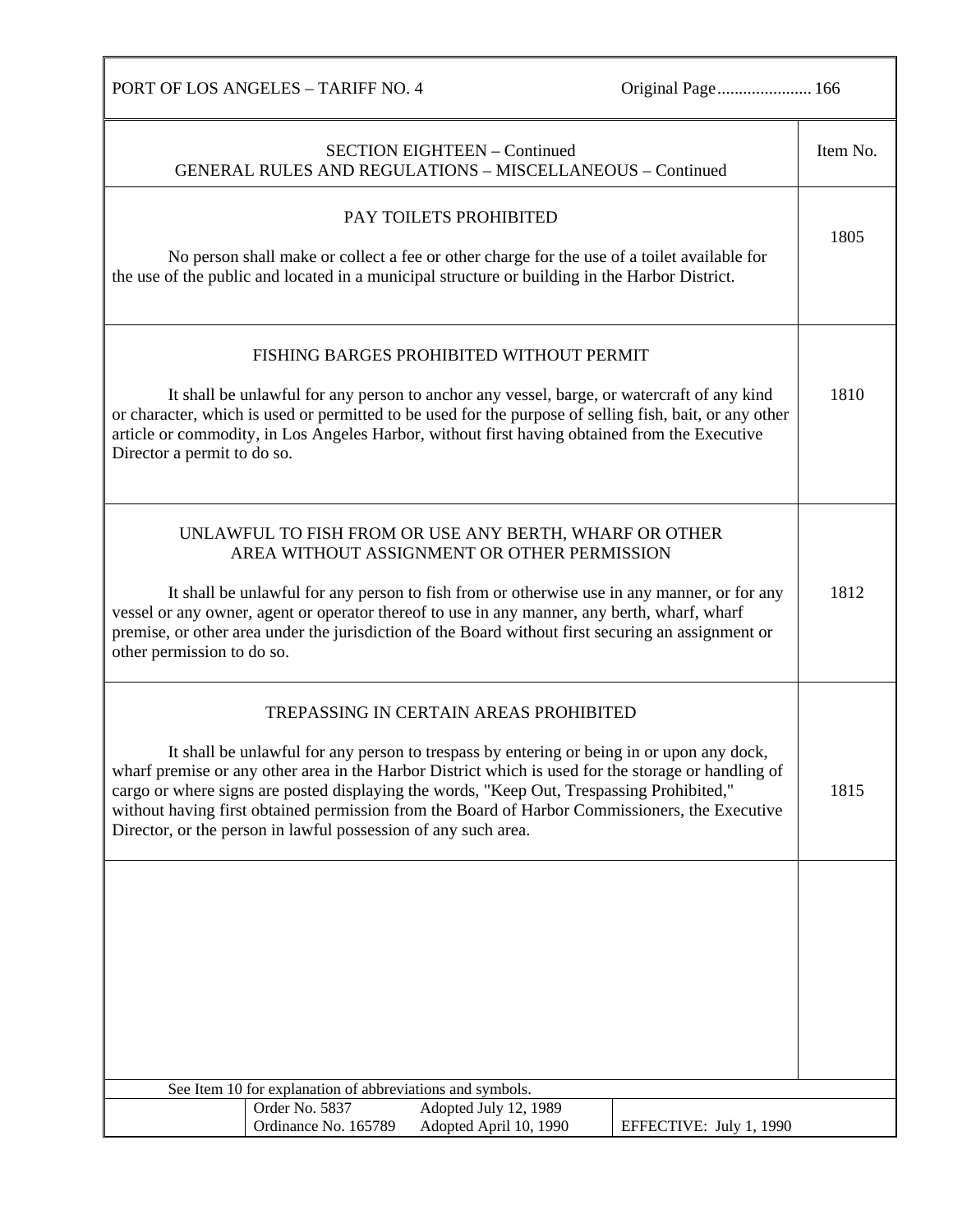|                             | <b>PORT OF LOS ANGELES - TARIFF NO. 4</b>                      |                                                                                                                                                                                                                                                                                                                                                                                                                                           | Original Page 166       |          |
|-----------------------------|----------------------------------------------------------------|-------------------------------------------------------------------------------------------------------------------------------------------------------------------------------------------------------------------------------------------------------------------------------------------------------------------------------------------------------------------------------------------------------------------------------------------|-------------------------|----------|
|                             |                                                                | <b>SECTION EIGHTEEN - Continued</b><br>GENERAL RULES AND REGULATIONS - MISCELLANEOUS - Continued                                                                                                                                                                                                                                                                                                                                          |                         | Item No. |
|                             |                                                                | PAY TOILETS PROHIBITED<br>No person shall make or collect a fee or other charge for the use of a toilet available for<br>the use of the public and located in a municipal structure or building in the Harbor District.                                                                                                                                                                                                                   |                         | 1805     |
| Director a permit to do so. |                                                                | FISHING BARGES PROHIBITED WITHOUT PERMIT<br>It shall be unlawful for any person to anchor any vessel, barge, or watercraft of any kind<br>or character, which is used or permitted to be used for the purpose of selling fish, bait, or any other<br>article or commodity, in Los Angeles Harbor, without first having obtained from the Executive                                                                                        |                         | 1810     |
| other permission to do so.  |                                                                | UNLAWFUL TO FISH FROM OR USE ANY BERTH, WHARF OR OTHER<br>AREA WITHOUT ASSIGNMENT OR OTHER PERMISSION<br>It shall be unlawful for any person to fish from or otherwise use in any manner, or for any<br>vessel or any owner, agent or operator thereof to use in any manner, any berth, wharf, wharf<br>premise, or other area under the jurisdiction of the Board without first securing an assignment or                                |                         | 1812     |
|                             | Director, or the person in lawful possession of any such area. | TREPASSING IN CERTAIN AREAS PROHIBITED<br>It shall be unlawful for any person to trespass by entering or being in or upon any dock,<br>wharf premise or any other area in the Harbor District which is used for the storage or handling of<br>cargo or where signs are posted displaying the words, "Keep Out, Trespassing Prohibited,"<br>without having first obtained permission from the Board of Harbor Commissioners, the Executive |                         | 1815     |
|                             | See Item 10 for explanation of abbreviations and symbols.      |                                                                                                                                                                                                                                                                                                                                                                                                                                           |                         |          |
|                             | Order No. 5837<br>Ordinance No. 165789                         | Adopted July 12, 1989<br>Adopted April 10, 1990                                                                                                                                                                                                                                                                                                                                                                                           | EFFECTIVE: July 1, 1990 |          |
|                             |                                                                |                                                                                                                                                                                                                                                                                                                                                                                                                                           |                         |          |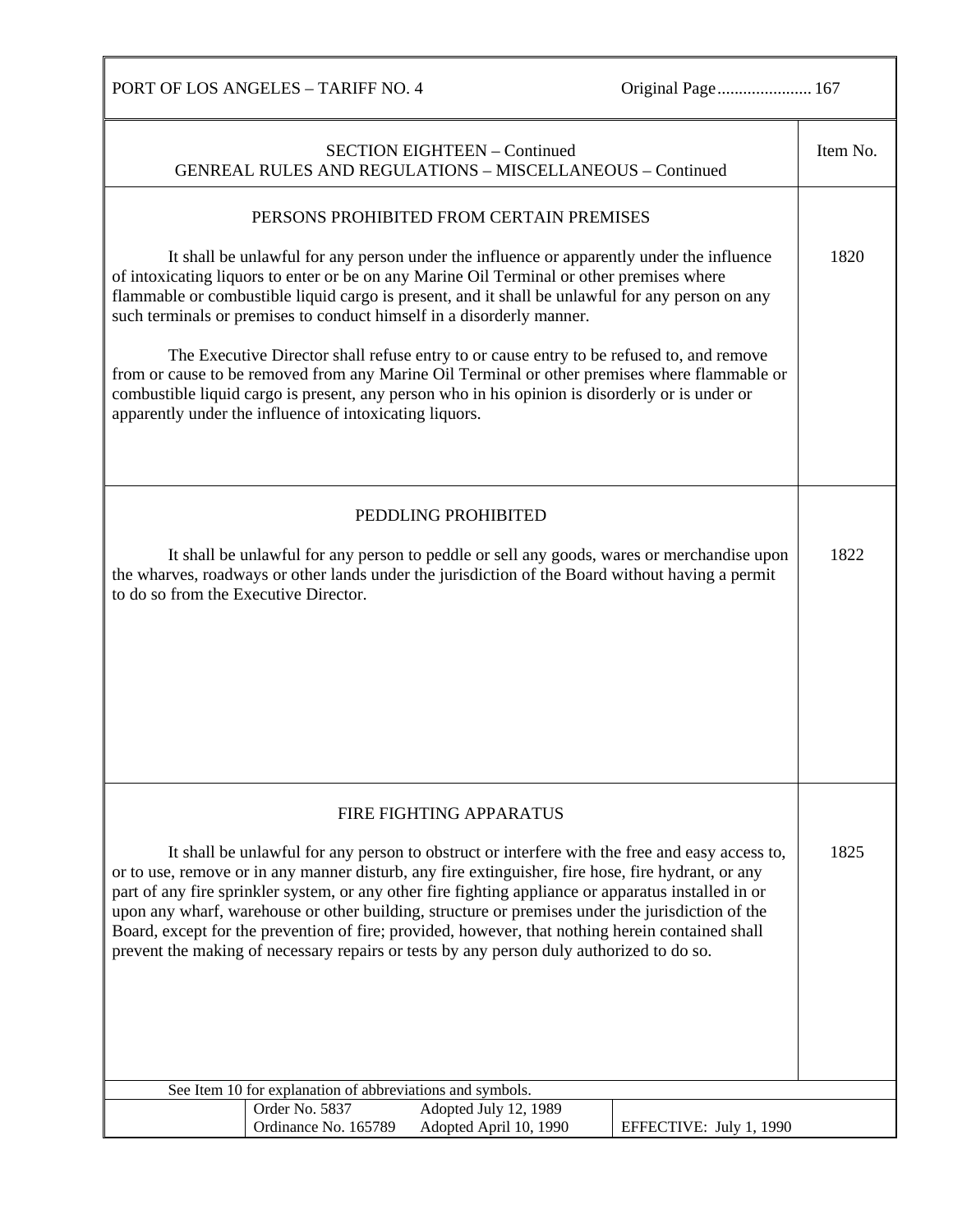PORT OF LOS ANGELES – TARIFF NO. 4 Original Page.......................... 167

| <b>SECTION EIGHTEEN - Continued</b><br><b>GENREAL RULES AND REGULATIONS - MISCELLANEOUS - Continued</b>                                                                                                                                                                                                                                                                                                                                                                                                                                                                                                          | Item No. |  |
|------------------------------------------------------------------------------------------------------------------------------------------------------------------------------------------------------------------------------------------------------------------------------------------------------------------------------------------------------------------------------------------------------------------------------------------------------------------------------------------------------------------------------------------------------------------------------------------------------------------|----------|--|
| PERSONS PROHIBITED FROM CERTAIN PREMISES                                                                                                                                                                                                                                                                                                                                                                                                                                                                                                                                                                         |          |  |
|                                                                                                                                                                                                                                                                                                                                                                                                                                                                                                                                                                                                                  |          |  |
| It shall be unlawful for any person under the influence or apparently under the influence<br>of intoxicating liquors to enter or be on any Marine Oil Terminal or other premises where<br>flammable or combustible liquid cargo is present, and it shall be unlawful for any person on any<br>such terminals or premises to conduct himself in a disorderly manner.                                                                                                                                                                                                                                              | 1820     |  |
| The Executive Director shall refuse entry to or cause entry to be refused to, and remove<br>from or cause to be removed from any Marine Oil Terminal or other premises where flammable or<br>combustible liquid cargo is present, any person who in his opinion is disorderly or is under or<br>apparently under the influence of intoxicating liquors.                                                                                                                                                                                                                                                          |          |  |
|                                                                                                                                                                                                                                                                                                                                                                                                                                                                                                                                                                                                                  |          |  |
| PEDDLING PROHIBITED                                                                                                                                                                                                                                                                                                                                                                                                                                                                                                                                                                                              |          |  |
| It shall be unlawful for any person to peddle or sell any goods, wares or merchandise upon<br>the wharves, roadways or other lands under the jurisdiction of the Board without having a permit<br>to do so from the Executive Director.                                                                                                                                                                                                                                                                                                                                                                          | 1822     |  |
|                                                                                                                                                                                                                                                                                                                                                                                                                                                                                                                                                                                                                  |          |  |
|                                                                                                                                                                                                                                                                                                                                                                                                                                                                                                                                                                                                                  |          |  |
|                                                                                                                                                                                                                                                                                                                                                                                                                                                                                                                                                                                                                  |          |  |
|                                                                                                                                                                                                                                                                                                                                                                                                                                                                                                                                                                                                                  |          |  |
|                                                                                                                                                                                                                                                                                                                                                                                                                                                                                                                                                                                                                  |          |  |
|                                                                                                                                                                                                                                                                                                                                                                                                                                                                                                                                                                                                                  |          |  |
|                                                                                                                                                                                                                                                                                                                                                                                                                                                                                                                                                                                                                  |          |  |
| FIRE FIGHTING APPARATUS                                                                                                                                                                                                                                                                                                                                                                                                                                                                                                                                                                                          |          |  |
| It shall be unlawful for any person to obstruct or interfere with the free and easy access to,<br>or to use, remove or in any manner disturb, any fire extinguisher, fire hose, fire hydrant, or any<br>part of any fire sprinkler system, or any other fire fighting appliance or apparatus installed in or<br>upon any wharf, warehouse or other building, structure or premises under the jurisdiction of the<br>Board, except for the prevention of fire; provided, however, that nothing herein contained shall<br>prevent the making of necessary repairs or tests by any person duly authorized to do so. |          |  |
|                                                                                                                                                                                                                                                                                                                                                                                                                                                                                                                                                                                                                  |          |  |
|                                                                                                                                                                                                                                                                                                                                                                                                                                                                                                                                                                                                                  |          |  |
|                                                                                                                                                                                                                                                                                                                                                                                                                                                                                                                                                                                                                  |          |  |
|                                                                                                                                                                                                                                                                                                                                                                                                                                                                                                                                                                                                                  |          |  |
| See Item 10 for explanation of abbreviations and symbols.                                                                                                                                                                                                                                                                                                                                                                                                                                                                                                                                                        |          |  |
| Order No. 5837<br>Adopted July 12, 1989<br>Ordinance No. 165789<br>Adopted April 10, 1990<br>EFFECTIVE: July 1, 1990                                                                                                                                                                                                                                                                                                                                                                                                                                                                                             |          |  |
|                                                                                                                                                                                                                                                                                                                                                                                                                                                                                                                                                                                                                  |          |  |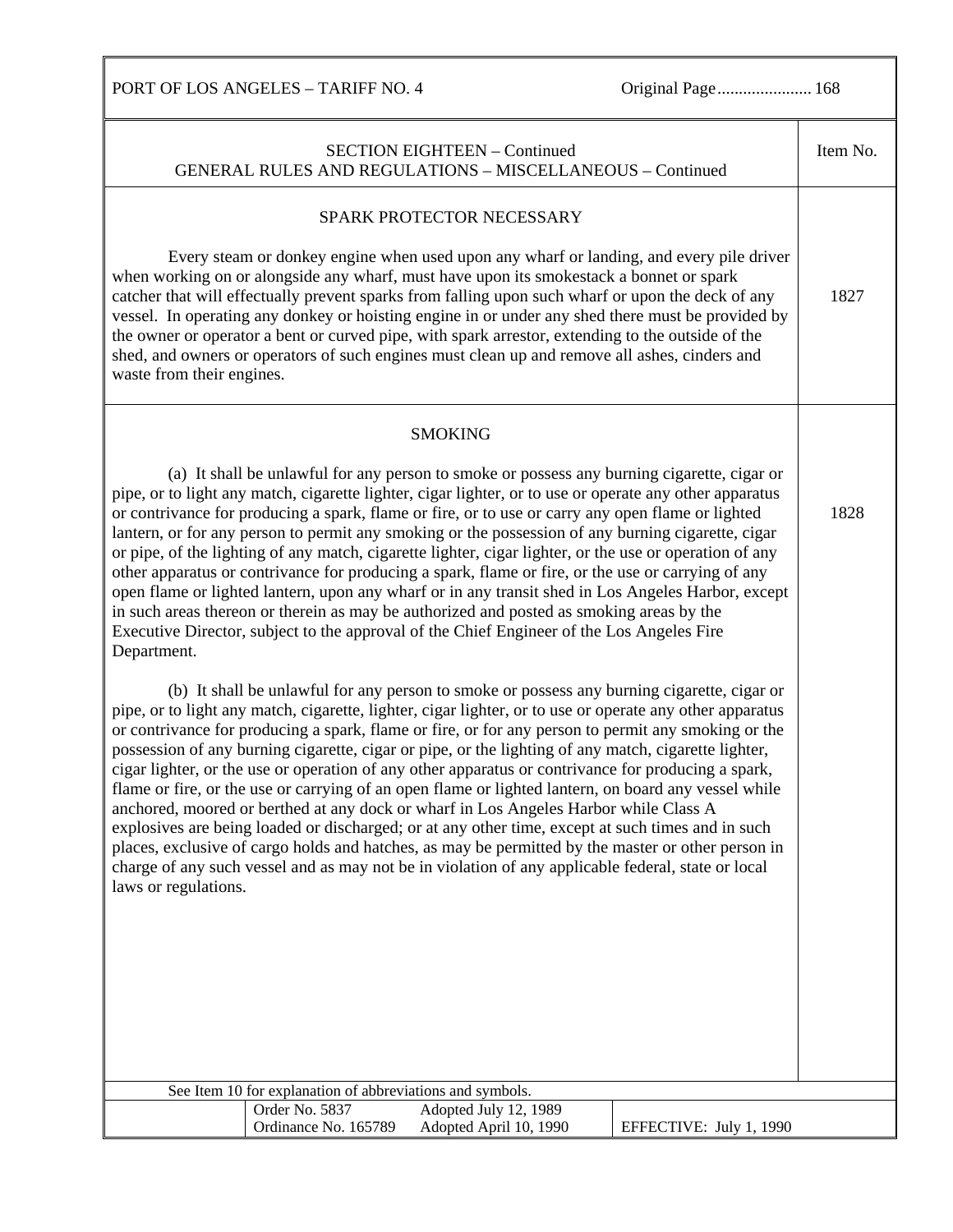PORT OF LOS ANGELES – TARIFF NO. 4 Original Page........................... 168

| <b>SECTION EIGHTEEN - Continued</b><br>GENERAL RULES AND REGULATIONS - MISCELLANEOUS - Continued                                                                                                                                                                                                                                                                                                                                                                                                                                                                                                                                                                                                                                                                                                                                                                                                                                                                                                                                                                                                                                                                                                                                                                                                                                                                                                                                                                                                                                                                                                                                                                                                                                                                                                                                                                                                                                                                                                                                             | Item No. |
|----------------------------------------------------------------------------------------------------------------------------------------------------------------------------------------------------------------------------------------------------------------------------------------------------------------------------------------------------------------------------------------------------------------------------------------------------------------------------------------------------------------------------------------------------------------------------------------------------------------------------------------------------------------------------------------------------------------------------------------------------------------------------------------------------------------------------------------------------------------------------------------------------------------------------------------------------------------------------------------------------------------------------------------------------------------------------------------------------------------------------------------------------------------------------------------------------------------------------------------------------------------------------------------------------------------------------------------------------------------------------------------------------------------------------------------------------------------------------------------------------------------------------------------------------------------------------------------------------------------------------------------------------------------------------------------------------------------------------------------------------------------------------------------------------------------------------------------------------------------------------------------------------------------------------------------------------------------------------------------------------------------------------------------------|----------|
| SPARK PROTECTOR NECESSARY<br>Every steam or donkey engine when used upon any wharf or landing, and every pile driver<br>when working on or alongside any wharf, must have upon its smokestack a bonnet or spark<br>catcher that will effectually prevent sparks from falling upon such wharf or upon the deck of any<br>vessel. In operating any donkey or hoisting engine in or under any shed there must be provided by<br>the owner or operator a bent or curved pipe, with spark arrestor, extending to the outside of the<br>shed, and owners or operators of such engines must clean up and remove all ashes, cinders and<br>waste from their engines.                                                                                                                                                                                                                                                                                                                                                                                                                                                                                                                                                                                                                                                                                                                                                                                                                                                                                                                                                                                                                                                                                                                                                                                                                                                                                                                                                                                 | 1827     |
| <b>SMOKING</b><br>(a) It shall be unlawful for any person to smoke or possess any burning cigarette, cigar or<br>pipe, or to light any match, cigarette lighter, cigar lighter, or to use or operate any other apparatus<br>or contrivance for producing a spark, flame or fire, or to use or carry any open flame or lighted<br>lantern, or for any person to permit any smoking or the possession of any burning cigarette, cigar<br>or pipe, of the lighting of any match, cigarette lighter, cigar lighter, or the use or operation of any<br>other apparatus or contrivance for producing a spark, flame or fire, or the use or carrying of any<br>open flame or lighted lantern, upon any wharf or in any transit shed in Los Angeles Harbor, except<br>in such areas thereon or therein as may be authorized and posted as smoking areas by the<br>Executive Director, subject to the approval of the Chief Engineer of the Los Angeles Fire<br>Department.<br>(b) It shall be unlawful for any person to smoke or possess any burning cigarette, cigar or<br>pipe, or to light any match, cigarette, lighter, cigar lighter, or to use or operate any other apparatus<br>or contrivance for producing a spark, flame or fire, or for any person to permit any smoking or the<br>possession of any burning cigarette, cigar or pipe, or the lighting of any match, cigarette lighter,<br>cigar lighter, or the use or operation of any other apparatus or contrivance for producing a spark,<br>flame or fire, or the use or carrying of an open flame or lighted lantern, on board any vessel while<br>anchored, moored or berthed at any dock or wharf in Los Angeles Harbor while Class A<br>explosives are being loaded or discharged; or at any other time, except at such times and in such<br>places, exclusive of cargo holds and hatches, as may be permitted by the master or other person in<br>charge of any such vessel and as may not be in violation of any applicable federal, state or local<br>laws or regulations. | 1828     |
| See Item 10 for explanation of abbreviations and symbols.<br>Order No. 5837<br>Adopted July 12, 1989<br>Ordinance No. 165789<br>Adopted April 10, 1990<br>EFFECTIVE: July 1, 1990                                                                                                                                                                                                                                                                                                                                                                                                                                                                                                                                                                                                                                                                                                                                                                                                                                                                                                                                                                                                                                                                                                                                                                                                                                                                                                                                                                                                                                                                                                                                                                                                                                                                                                                                                                                                                                                            |          |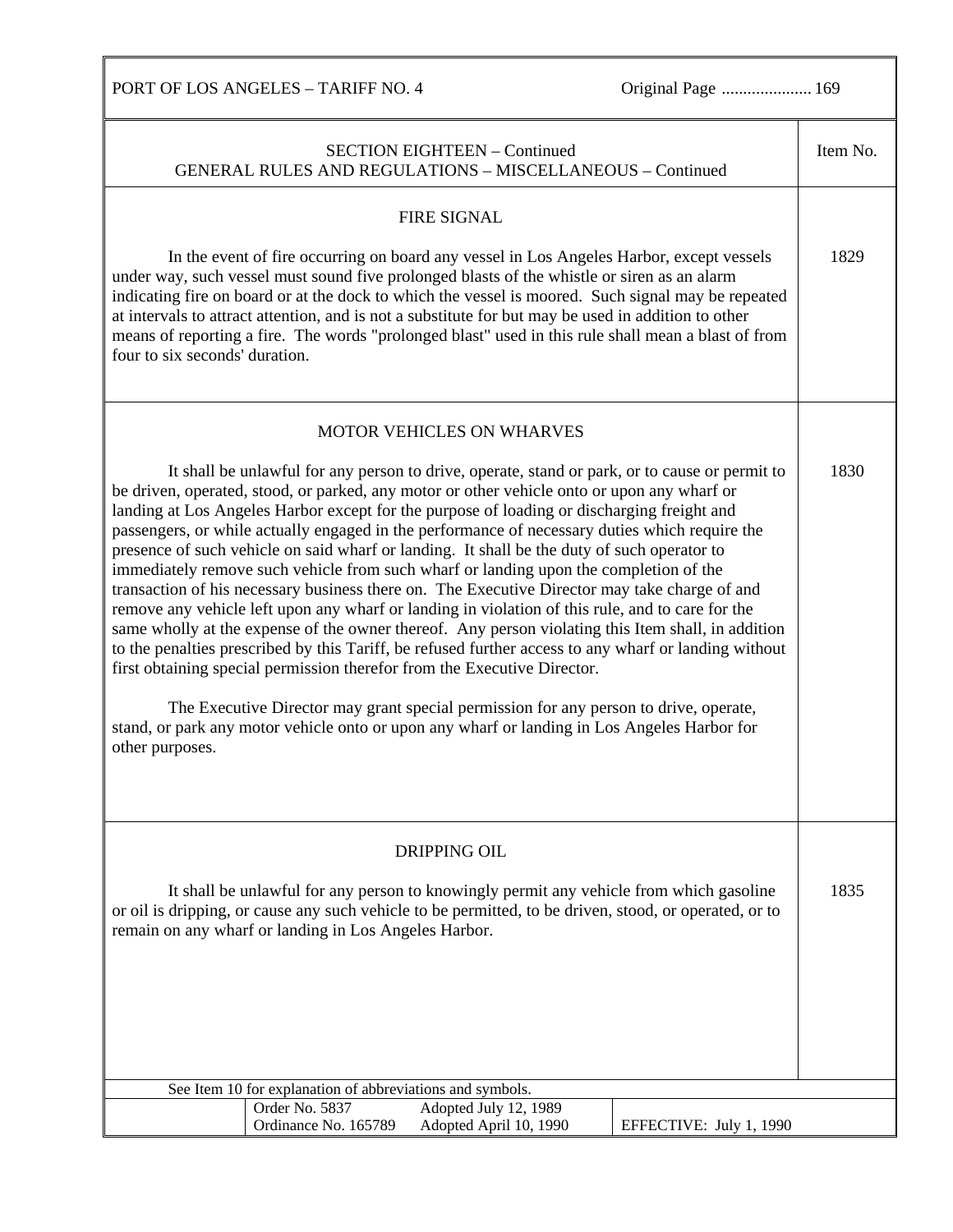PORT OF LOS ANGELES – TARIFF NO. 4 Original Page ................................ 169 SECTION EIGHTEEN – Continued GENERAL RULES AND REGULATIONS – MISCELLANEOUS – Continued Item No. FIRE SIGNAL In the event of fire occurring on board any vessel in Los Angeles Harbor, except vessels under way, such vessel must sound five prolonged blasts of the whistle or siren as an alarm indicating fire on board or at the dock to which the vessel is moored. Such signal may be repeated at intervals to attract attention, and is not a substitute for but may be used in addition to other means of reporting a fire. The words "prolonged blast" used in this rule shall mean a blast of from four to six seconds' duration. 1829 MOTOR VEHICLES ON WHARVES It shall be unlawful for any person to drive, operate, stand or park, or to cause or permit to be driven, operated, stood, or parked, any motor or other vehicle onto or upon any wharf or landing at Los Angeles Harbor except for the purpose of loading or discharging freight and passengers, or while actually engaged in the performance of necessary duties which require the presence of such vehicle on said wharf or landing. It shall be the duty of such operator to immediately remove such vehicle from such wharf or landing upon the completion of the transaction of his necessary business there on. The Executive Director may take charge of and remove any vehicle left upon any wharf or landing in violation of this rule, and to care for the same wholly at the expense of the owner thereof. Any person violating this Item shall, in addition to the penalties prescribed by this Tariff, be refused further access to any wharf or landing without first obtaining special permission therefor from the Executive Director. The Executive Director may grant special permission for any person to drive, operate, stand, or park any motor vehicle onto or upon any wharf or landing in Los Angeles Harbor for other purposes. 1830 DRIPPING OIL It shall be unlawful for any person to knowingly permit any vehicle from which gasoline or oil is dripping, or cause any such vehicle to be permitted, to be driven, stood, or operated, or to remain on any wharf or landing in Los Angeles Harbor. 1835 See Item 10 for explanation of abbreviations and symbols. Order No. 5837 Adopted July 12, 1989 Ordinance No. 165789 Adopted April 10, 1990 EFFECTIVE: July 1, 1990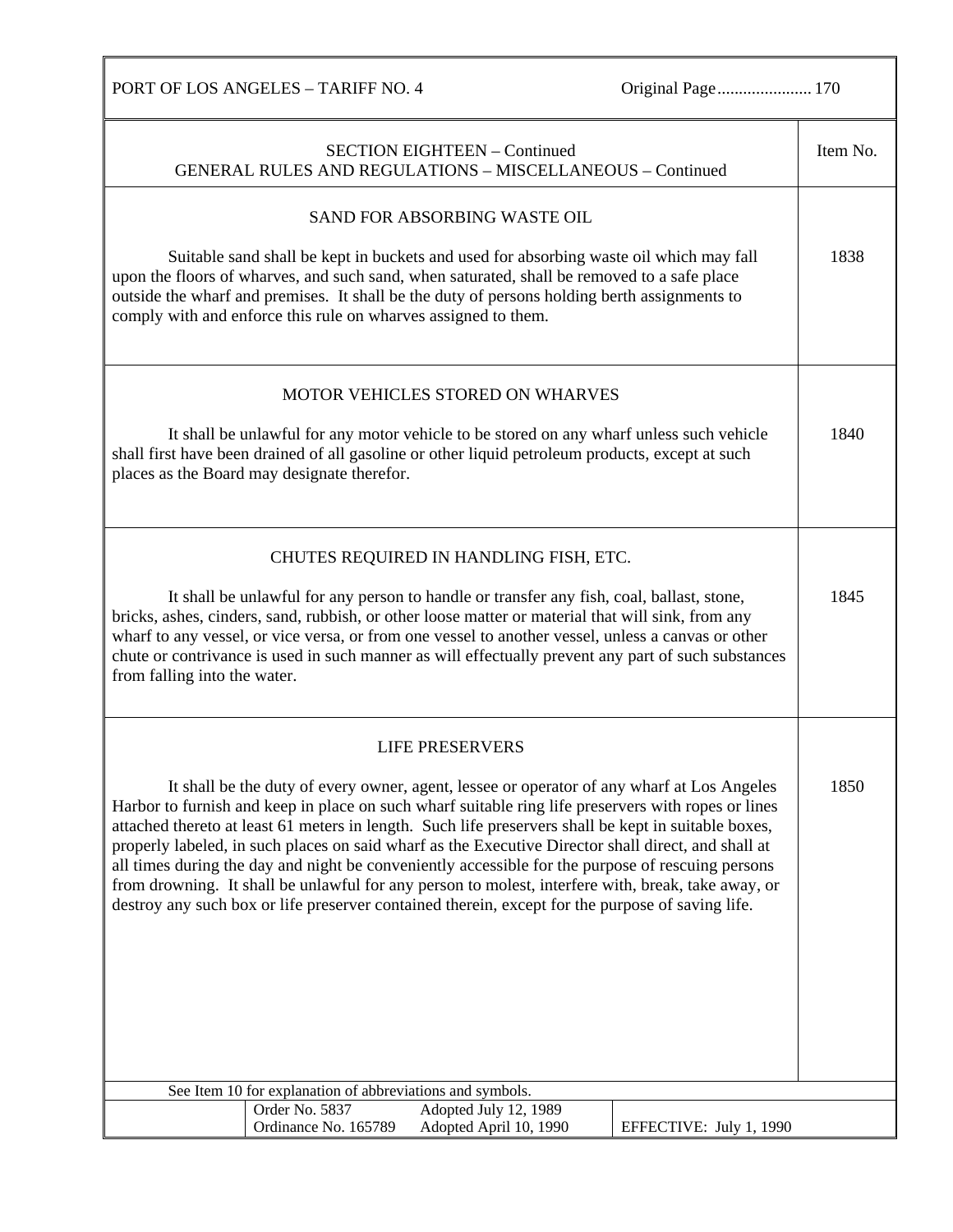PORT OF LOS ANGELES – TARIFF NO. 4 Original Page................................. 170

| <b>SECTION EIGHTEEN - Continued</b><br><b>GENERAL RULES AND REGULATIONS - MISCELLANEOUS - Continued</b>                                                                                                                                                                                                                                                                                                                                                                                                                                                                                                                                                                                                                         | Item No. |
|---------------------------------------------------------------------------------------------------------------------------------------------------------------------------------------------------------------------------------------------------------------------------------------------------------------------------------------------------------------------------------------------------------------------------------------------------------------------------------------------------------------------------------------------------------------------------------------------------------------------------------------------------------------------------------------------------------------------------------|----------|
|                                                                                                                                                                                                                                                                                                                                                                                                                                                                                                                                                                                                                                                                                                                                 |          |
| SAND FOR ABSORBING WASTE OIL                                                                                                                                                                                                                                                                                                                                                                                                                                                                                                                                                                                                                                                                                                    |          |
| Suitable sand shall be kept in buckets and used for absorbing waste oil which may fall<br>upon the floors of wharves, and such sand, when saturated, shall be removed to a safe place<br>outside the wharf and premises. It shall be the duty of persons holding berth assignments to<br>comply with and enforce this rule on wharves assigned to them.                                                                                                                                                                                                                                                                                                                                                                         | 1838     |
| MOTOR VEHICLES STORED ON WHARVES                                                                                                                                                                                                                                                                                                                                                                                                                                                                                                                                                                                                                                                                                                |          |
| It shall be unlawful for any motor vehicle to be stored on any wharf unless such vehicle<br>shall first have been drained of all gasoline or other liquid petroleum products, except at such<br>places as the Board may designate therefor.                                                                                                                                                                                                                                                                                                                                                                                                                                                                                     | 1840     |
| CHUTES REQUIRED IN HANDLING FISH, ETC.                                                                                                                                                                                                                                                                                                                                                                                                                                                                                                                                                                                                                                                                                          |          |
| It shall be unlawful for any person to handle or transfer any fish, coal, ballast, stone,<br>bricks, ashes, cinders, sand, rubbish, or other loose matter or material that will sink, from any<br>wharf to any vessel, or vice versa, or from one vessel to another vessel, unless a canvas or other<br>chute or contrivance is used in such manner as will effectually prevent any part of such substances<br>from falling into the water.                                                                                                                                                                                                                                                                                     | 1845     |
| <b>LIFE PRESERVERS</b>                                                                                                                                                                                                                                                                                                                                                                                                                                                                                                                                                                                                                                                                                                          |          |
| It shall be the duty of every owner, agent, lessee or operator of any wharf at Los Angeles<br>Harbor to furnish and keep in place on such wharf suitable ring life preservers with ropes or lines<br>attached thereto at least 61 meters in length. Such life preservers shall be kept in suitable boxes,<br>properly labeled, in such places on said wharf as the Executive Director shall direct, and shall at<br>all times during the day and night be conveniently accessible for the purpose of rescuing persons<br>from drowning. It shall be unlawful for any person to molest, interfere with, break, take away, or<br>destroy any such box or life preserver contained therein, except for the purpose of saving life. | 1850     |
| See Item 10 for explanation of abbreviations and symbols.<br>Order No. 5837<br>Adopted July 12, 1989                                                                                                                                                                                                                                                                                                                                                                                                                                                                                                                                                                                                                            |          |
| Ordinance No. 165789<br>Adopted April 10, 1990<br>EFFECTIVE: July 1, 1990                                                                                                                                                                                                                                                                                                                                                                                                                                                                                                                                                                                                                                                       |          |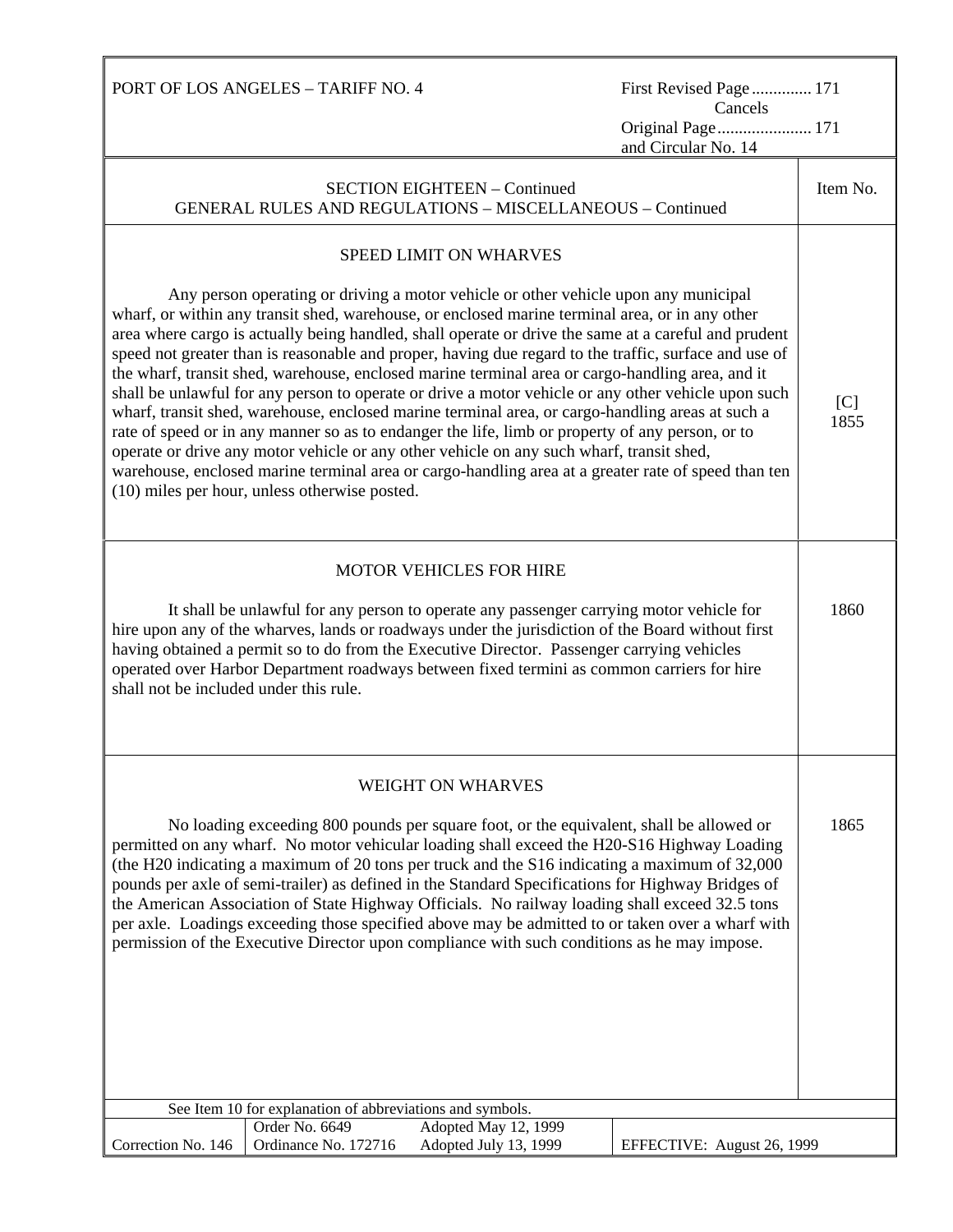PORT OF LOS ANGELES – TARIFF NO. 4 First Revised Page.............. 171 Cancels Original Page...................... 171 and Circular No. 14 SECTION EIGHTEEN – Continued GENERAL RULES AND REGULATIONS – MISCELLANEOUS – Continued Item No. SPEED LIMIT ON WHARVES Any person operating or driving a motor vehicle or other vehicle upon any municipal wharf, or within any transit shed, warehouse, or enclosed marine terminal area, or in any other area where cargo is actually being handled, shall operate or drive the same at a careful and prudent speed not greater than is reasonable and proper, having due regard to the traffic, surface and use of the wharf, transit shed, warehouse, enclosed marine terminal area or cargo-handling area, and it shall be unlawful for any person to operate or drive a motor vehicle or any other vehicle upon such wharf, transit shed, warehouse, enclosed marine terminal area, or cargo-handling areas at such a rate of speed or in any manner so as to endanger the life, limb or property of any person, or to operate or drive any motor vehicle or any other vehicle on any such wharf, transit shed, warehouse, enclosed marine terminal area or cargo-handling area at a greater rate of speed than ten (10) miles per hour, unless otherwise posted.  $[C]$ 1855 MOTOR VEHICLES FOR HIRE It shall be unlawful for any person to operate any passenger carrying motor vehicle for hire upon any of the wharves, lands or roadways under the jurisdiction of the Board without first having obtained a permit so to do from the Executive Director. Passenger carrying vehicles operated over Harbor Department roadways between fixed termini as common carriers for hire shall not be included under this rule. 1860 WEIGHT ON WHARVES No loading exceeding 800 pounds per square foot, or the equivalent, shall be allowed or permitted on any wharf. No motor vehicular loading shall exceed the H20-S16 Highway Loading (the H20 indicating a maximum of 20 tons per truck and the S16 indicating a maximum of 32,000 pounds per axle of semi-trailer) as defined in the Standard Specifications for Highway Bridges of the American Association of State Highway Officials. No railway loading shall exceed 32.5 tons per axle. Loadings exceeding those specified above may be admitted to or taken over a wharf with permission of the Executive Director upon compliance with such conditions as he may impose. 1865 See Item 10 for explanation of abbreviations and symbols. Correction No. 146 Order No. 6649 Adopted May 12, 1999 Ordinance No. 172716 Adopted July 13, 1999 EFFECTIVE: August 26, 1999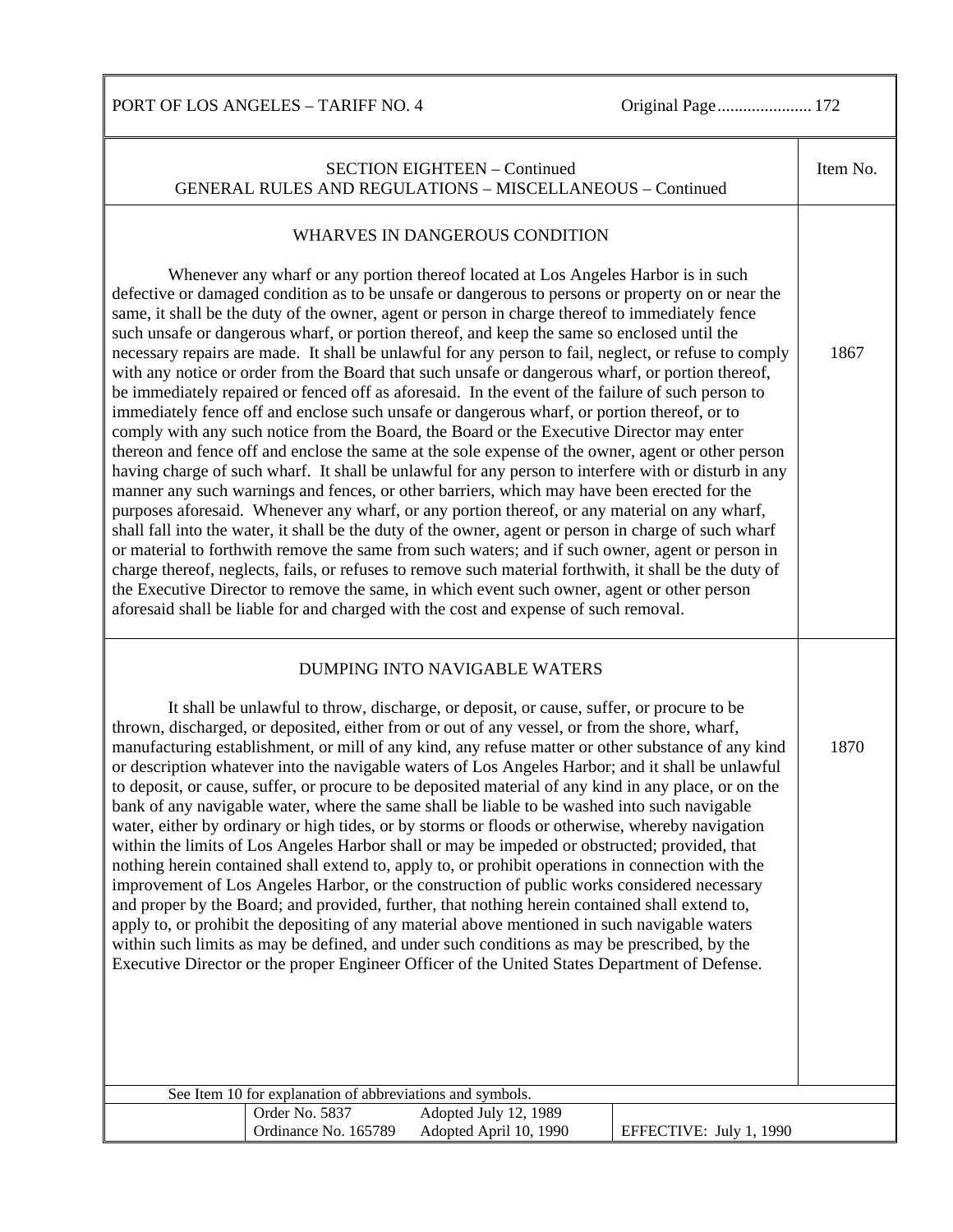PORT OF LOS ANGELES - TARIFF NO. 4 Original Page......................... 172

| <b>SECTION EIGHTEEN - Continued</b><br><b>GENERAL RULES AND REGULATIONS - MISCELLANEOUS - Continued</b>                                                                                                                                                                                                                                                                                                                                                                                                                                                                                                                                                                                                                                                                                                                                                                                                                                                                                                                                                                                                                                                                                                                                                                                                                                                                                                                                                                                                                                                                                                                                                                                                                                                                                                                                                               | Item No. |
|-----------------------------------------------------------------------------------------------------------------------------------------------------------------------------------------------------------------------------------------------------------------------------------------------------------------------------------------------------------------------------------------------------------------------------------------------------------------------------------------------------------------------------------------------------------------------------------------------------------------------------------------------------------------------------------------------------------------------------------------------------------------------------------------------------------------------------------------------------------------------------------------------------------------------------------------------------------------------------------------------------------------------------------------------------------------------------------------------------------------------------------------------------------------------------------------------------------------------------------------------------------------------------------------------------------------------------------------------------------------------------------------------------------------------------------------------------------------------------------------------------------------------------------------------------------------------------------------------------------------------------------------------------------------------------------------------------------------------------------------------------------------------------------------------------------------------------------------------------------------------|----------|
| WHARVES IN DANGEROUS CONDITION<br>Whenever any wharf or any portion thereof located at Los Angeles Harbor is in such<br>defective or damaged condition as to be unsafe or dangerous to persons or property on or near the<br>same, it shall be the duty of the owner, agent or person in charge thereof to immediately fence<br>such unsafe or dangerous wharf, or portion thereof, and keep the same so enclosed until the<br>necessary repairs are made. It shall be unlawful for any person to fail, neglect, or refuse to comply<br>with any notice or order from the Board that such unsafe or dangerous wharf, or portion thereof,<br>be immediately repaired or fenced off as aforesaid. In the event of the failure of such person to<br>immediately fence off and enclose such unsafe or dangerous wharf, or portion thereof, or to<br>comply with any such notice from the Board, the Board or the Executive Director may enter<br>thereon and fence off and enclose the same at the sole expense of the owner, agent or other person<br>having charge of such wharf. It shall be unlawful for any person to interfere with or disturb in any<br>manner any such warnings and fences, or other barriers, which may have been erected for the<br>purposes aforesaid. Whenever any wharf, or any portion thereof, or any material on any wharf,<br>shall fall into the water, it shall be the duty of the owner, agent or person in charge of such wharf<br>or material to forthwith remove the same from such waters; and if such owner, agent or person in<br>charge thereof, neglects, fails, or refuses to remove such material forthwith, it shall be the duty of<br>the Executive Director to remove the same, in which event such owner, agent or other person<br>aforesaid shall be liable for and charged with the cost and expense of such removal. | 1867     |
| DUMPING INTO NAVIGABLE WATERS<br>It shall be unlawful to throw, discharge, or deposit, or cause, suffer, or procure to be<br>thrown, discharged, or deposited, either from or out of any vessel, or from the shore, wharf,<br>manufacturing establishment, or mill of any kind, any refuse matter or other substance of any kind<br>or description whatever into the navigable waters of Los Angeles Harbor; and it shall be unlawful<br>to deposit, or cause, suffer, or procure to be deposited material of any kind in any place, or on the<br>bank of any navigable water, where the same shall be liable to be washed into such navigable<br>water, either by ordinary or high tides, or by storms or floods or otherwise, whereby navigation<br>within the limits of Los Angeles Harbor shall or may be impeded or obstructed; provided, that<br>nothing herein contained shall extend to, apply to, or prohibit operations in connection with the<br>improvement of Los Angeles Harbor, or the construction of public works considered necessary<br>and proper by the Board; and provided, further, that nothing herein contained shall extend to,<br>apply to, or prohibit the depositing of any material above mentioned in such navigable waters<br>within such limits as may be defined, and under such conditions as may be prescribed, by the<br>Executive Director or the proper Engineer Officer of the United States Department of Defense.                                                                                                                                                                                                                                                                                                                                                                                                           |          |
| See Item 10 for explanation of abbreviations and symbols.<br>Adopted July 12, 1989<br>Order No. 5837                                                                                                                                                                                                                                                                                                                                                                                                                                                                                                                                                                                                                                                                                                                                                                                                                                                                                                                                                                                                                                                                                                                                                                                                                                                                                                                                                                                                                                                                                                                                                                                                                                                                                                                                                                  |          |
| Ordinance No. 165789<br>Adopted April 10, 1990<br>EFFECTIVE: July 1, 1990                                                                                                                                                                                                                                                                                                                                                                                                                                                                                                                                                                                                                                                                                                                                                                                                                                                                                                                                                                                                                                                                                                                                                                                                                                                                                                                                                                                                                                                                                                                                                                                                                                                                                                                                                                                             |          |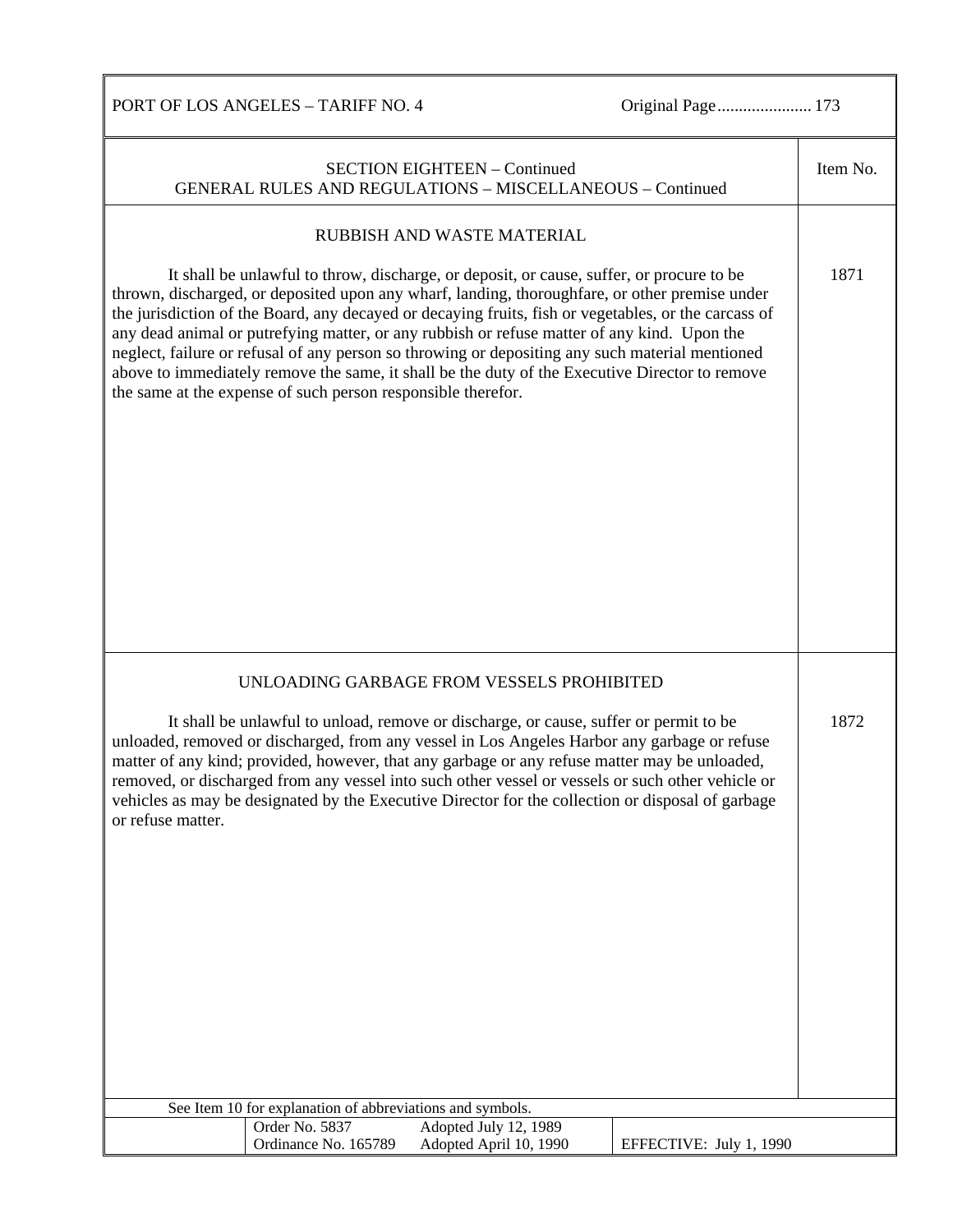PORT OF LOS ANGELES – TARIFF NO. 4 Original Page................................. 173

| <b>SECTION EIGHTEEN - Continued</b><br><b>GENERAL RULES AND REGULATIONS - MISCELLANEOUS - Continued</b>                                                                                                                                                                                                                                                                                                                                                                                                                                                                                                                                                                | Item No. |
|------------------------------------------------------------------------------------------------------------------------------------------------------------------------------------------------------------------------------------------------------------------------------------------------------------------------------------------------------------------------------------------------------------------------------------------------------------------------------------------------------------------------------------------------------------------------------------------------------------------------------------------------------------------------|----------|
| RUBBISH AND WASTE MATERIAL                                                                                                                                                                                                                                                                                                                                                                                                                                                                                                                                                                                                                                             |          |
| It shall be unlawful to throw, discharge, or deposit, or cause, suffer, or procure to be<br>thrown, discharged, or deposited upon any wharf, landing, thoroughfare, or other premise under<br>the jurisdiction of the Board, any decayed or decaying fruits, fish or vegetables, or the carcass of<br>any dead animal or putrefying matter, or any rubbish or refuse matter of any kind. Upon the<br>neglect, failure or refusal of any person so throwing or depositing any such material mentioned<br>above to immediately remove the same, it shall be the duty of the Executive Director to remove<br>the same at the expense of such person responsible therefor. | 1871     |
| UNLOADING GARBAGE FROM VESSELS PROHIBITED                                                                                                                                                                                                                                                                                                                                                                                                                                                                                                                                                                                                                              |          |
| It shall be unlawful to unload, remove or discharge, or cause, suffer or permit to be<br>unloaded, removed or discharged, from any vessel in Los Angeles Harbor any garbage or refuse<br>matter of any kind; provided, however, that any garbage or any refuse matter may be unloaded,<br>removed, or discharged from any vessel into such other vessel or vessels or such other vehicle or<br>vehicles as may be designated by the Executive Director for the collection or disposal of garbage<br>or refuse matter.                                                                                                                                                  | 1872     |
| See Item 10 for explanation of abbreviations and symbols.                                                                                                                                                                                                                                                                                                                                                                                                                                                                                                                                                                                                              |          |
| Order No. 5837<br>Adopted July 12, 1989<br>Ordinance No. 165789<br>Adopted April 10, 1990<br>EFFECTIVE: July 1, 1990                                                                                                                                                                                                                                                                                                                                                                                                                                                                                                                                                   |          |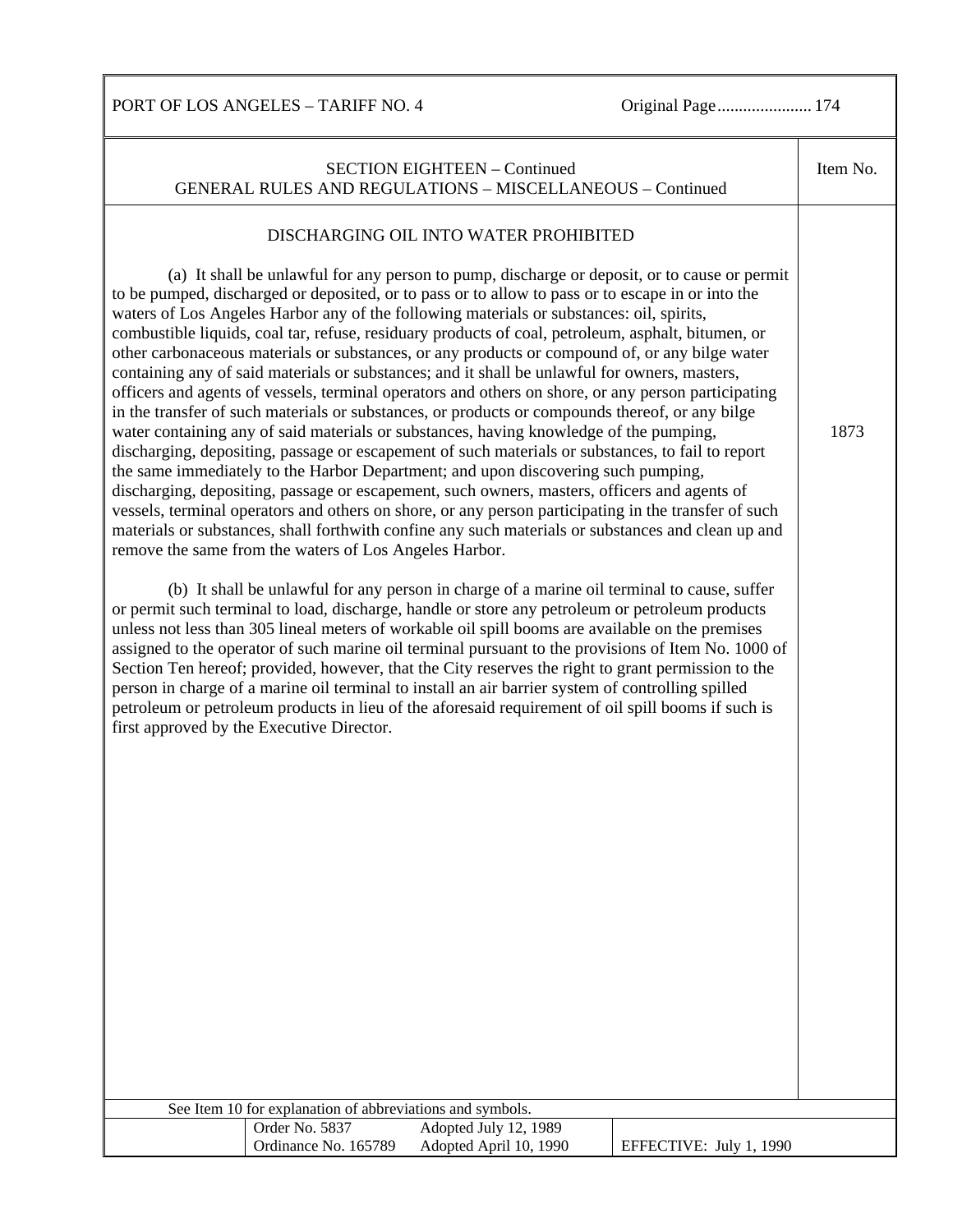PORT OF LOS ANGELES – TARIFF NO. 4 Original Page................................. 174

| <b>SECTION EIGHTEEN - Continued</b><br><b>GENERAL RULES AND REGULATIONS - MISCELLANEOUS - Continued</b>                                                                                                                                                                                                                                                                                                                                                                                                                                                                                                                                                                                                                                                                                                                                                                                                                                                                                                                                                                                                                                                                                                                                                                                                                                                                                                                                                                                                                                                                                                                                                                                                                                                                                                                                                                                                                                                                                                                                                                                                                                                                                                                                                                                          | Item No. |
|--------------------------------------------------------------------------------------------------------------------------------------------------------------------------------------------------------------------------------------------------------------------------------------------------------------------------------------------------------------------------------------------------------------------------------------------------------------------------------------------------------------------------------------------------------------------------------------------------------------------------------------------------------------------------------------------------------------------------------------------------------------------------------------------------------------------------------------------------------------------------------------------------------------------------------------------------------------------------------------------------------------------------------------------------------------------------------------------------------------------------------------------------------------------------------------------------------------------------------------------------------------------------------------------------------------------------------------------------------------------------------------------------------------------------------------------------------------------------------------------------------------------------------------------------------------------------------------------------------------------------------------------------------------------------------------------------------------------------------------------------------------------------------------------------------------------------------------------------------------------------------------------------------------------------------------------------------------------------------------------------------------------------------------------------------------------------------------------------------------------------------------------------------------------------------------------------------------------------------------------------------------------------------------------------|----------|
| DISCHARGING OIL INTO WATER PROHIBITED<br>(a) It shall be unlawful for any person to pump, discharge or deposit, or to cause or permit<br>to be pumped, discharged or deposited, or to pass or to allow to pass or to escape in or into the<br>waters of Los Angeles Harbor any of the following materials or substances: oil, spirits,<br>combustible liquids, coal tar, refuse, residuary products of coal, petroleum, asphalt, bitumen, or<br>other carbonaceous materials or substances, or any products or compound of, or any bilge water<br>containing any of said materials or substances; and it shall be unlawful for owners, masters,<br>officers and agents of vessels, terminal operators and others on shore, or any person participating<br>in the transfer of such materials or substances, or products or compounds thereof, or any bilge<br>water containing any of said materials or substances, having knowledge of the pumping,<br>discharging, depositing, passage or escapement of such materials or substances, to fail to report<br>the same immediately to the Harbor Department; and upon discovering such pumping,<br>discharging, depositing, passage or escapement, such owners, masters, officers and agents of<br>vessels, terminal operators and others on shore, or any person participating in the transfer of such<br>materials or substances, shall forthwith confine any such materials or substances and clean up and<br>remove the same from the waters of Los Angeles Harbor.<br>(b) It shall be unlawful for any person in charge of a marine oil terminal to cause, suffer<br>or permit such terminal to load, discharge, handle or store any petroleum or petroleum products<br>unless not less than 305 lineal meters of workable oil spill booms are available on the premises<br>assigned to the operator of such marine oil terminal pursuant to the provisions of Item No. 1000 of<br>Section Ten hereof; provided, however, that the City reserves the right to grant permission to the<br>person in charge of a marine oil terminal to install an air barrier system of controlling spilled<br>petroleum or petroleum products in lieu of the aforesaid requirement of oil spill booms if such is<br>first approved by the Executive Director. | 1873     |
| See Item 10 for explanation of abbreviations and symbols.                                                                                                                                                                                                                                                                                                                                                                                                                                                                                                                                                                                                                                                                                                                                                                                                                                                                                                                                                                                                                                                                                                                                                                                                                                                                                                                                                                                                                                                                                                                                                                                                                                                                                                                                                                                                                                                                                                                                                                                                                                                                                                                                                                                                                                        |          |
| Order No. 5837<br>Adopted July 12, 1989                                                                                                                                                                                                                                                                                                                                                                                                                                                                                                                                                                                                                                                                                                                                                                                                                                                                                                                                                                                                                                                                                                                                                                                                                                                                                                                                                                                                                                                                                                                                                                                                                                                                                                                                                                                                                                                                                                                                                                                                                                                                                                                                                                                                                                                          |          |
| Ordinance No. 165789<br>Adopted April 10, 1990<br>EFFECTIVE: July 1, 1990                                                                                                                                                                                                                                                                                                                                                                                                                                                                                                                                                                                                                                                                                                                                                                                                                                                                                                                                                                                                                                                                                                                                                                                                                                                                                                                                                                                                                                                                                                                                                                                                                                                                                                                                                                                                                                                                                                                                                                                                                                                                                                                                                                                                                        |          |